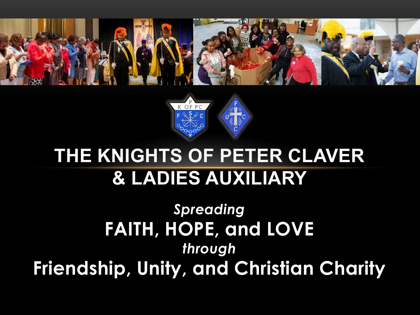



#### **THE KNIGHTS OF PETER CLAVER & LADIES AUXILIARY**

*Spreading* **FAITH, HOPE, and LOVE** *through* **Friendship, Unity, and Christian Charity**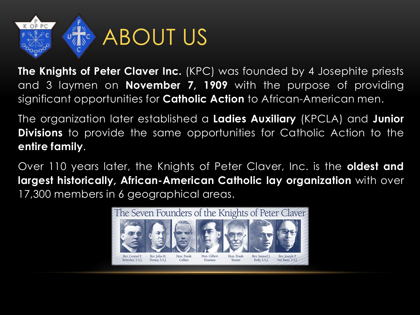

**The Knights of Peter Claver Inc.** (KPC) was founded by 4 Josephite priests and 3 laymen on **November 7, 1909** with the purpose of providing significant opportunities for **Catholic Action** to African-American men.

The organization later established a **Ladies Auxiliary** (KPCLA) and **Junior Divisions** to provide the same opportunities for Catholic Action to the **entire family**.

Over 110 years later, the Knights of Peter Claver, Inc. is the **oldest and largest historically, African-American Catholic lay organization** with over 17,300 members in 6 geographical areas.

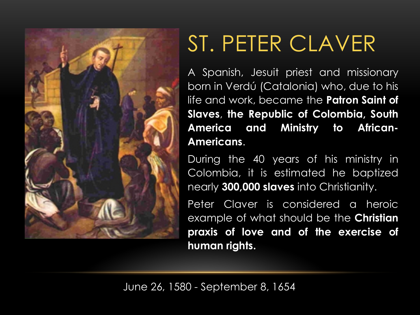

## ST. PETER CLAVER

A Spanish, Jesuit priest and missionary born in Verdú (Catalonia) who, due to his life and work, became the **Patron Saint of Slaves**, **the Republic of Colombia, South America and Ministry to African-Americans**.

During the 40 years of his ministry in Colombia, it is estimated he baptized nearly **300,000 slaves** into Christianity.

Peter Claver is considered a heroic example of what should be the **Christian praxis of love and of the exercise of human rights.**

June 26, 1580 - September 8, 1654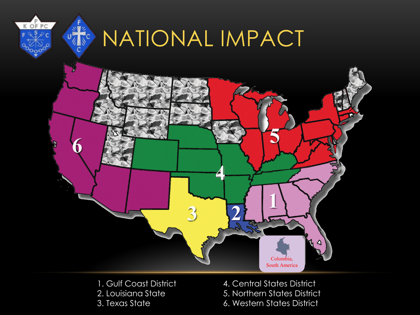

- 
- 1. Gulf Coast District 4. Central States District 2. Louisiana State 5. Northern States District 3. Texas State 6. Western States District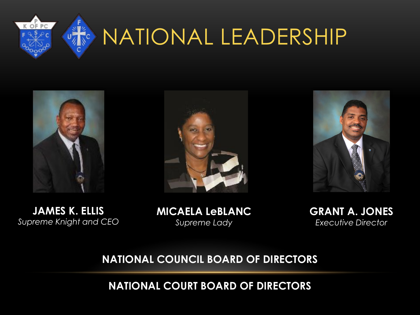

# NATIONAL LEADERSHIP

 $\zeta_c$ 





**JAMES K. ELLIS** *Supreme Knight and CEO*

**MICAELA LeBLANC** *Supreme Lady*

**GRANT A. JONES** *Executive Director*

#### **NATIONAL COUNCIL BOARD OF DIRECTORS**

**NATIONAL COURT BOARD OF DIRECTORS**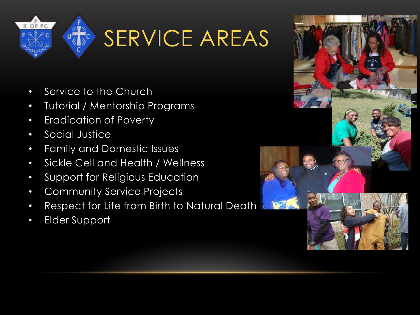

# SERVICE AREAS

- Service to the Church
- Tutorial / Mentorship Programs
- Eradication of Poverty
- Social Justice
- Family and Domestic Issues
- Sickle Cell and Health / Wellness
- Support for Religious Education
- Community Service Projects
- Respect for Life from Birth to Natural Death
- Elder Support

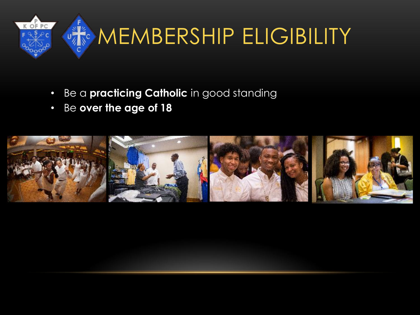

- Be a **practicing Catholic** in good standing
- Be **over the age of 18**

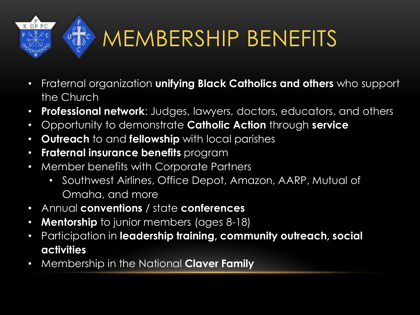

# MEMBERSHIP BENEFITS

- Fraternal organization **unifying Black Catholics and others** who support the Church
- **Professional network**: Judges, lawyers, doctors, educators, and others
- Opportunity to demonstrate **Catholic Action** through **service**
- **Outreach** to and **fellowship** with local parishes
- **Fraternal insurance benefits** program
- Member benefits with Corporate Partners
	- Southwest Airlines, Office Depot, Amazon, AARP, Mutual of Omaha, and more
- Annual **conventions** / state **conferences**
- **Mentorship** to junior members (ages 8-18)
- Participation in **leadership training, community outreach, social activities**
- Membership in the National **Claver Family**